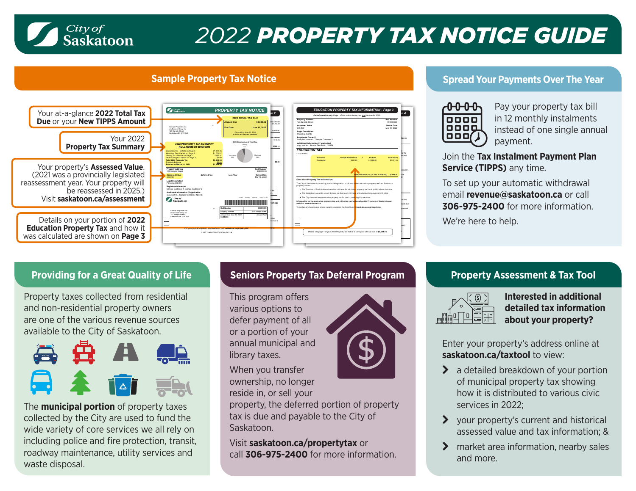

# *2022 PROPERTY TAX NOTICE GUIDE*



## **Sample Property Tax Notice** *Sample Property Tax Notice* **<b>Spread Your Payments Over The Year**  Spread Your Payments Over The Year



Pay your property tax bill in 12 monthly instalments instead of one single annual payment.

Join the **Tax Instalment Payment Plan Service (TIPPS)** any time.

To set up your automatic withdrawal email **[revenue@saskatoon.ca](mailto: https://www.saskatoon.ca/services-residents/property-tax-assessments/property-tax/property-assessment-tax-tool)** or call **306-975-2400** for more information.

We're here to help.

Property taxes collected from residential and non-residential property owners are one of the various revenue sources available to the City of Saskatoon.



The **municipal portion** of property taxes collected by the City are used to fund the wide variety of core services we all rely on including police and fire protection, transit, roadway maintenance, utility services and waste disposal.

# **Providing for a Great Quality of Life Seniors Property Tax Deferral Program**

This program offers various options to defer payment of all or a portion of your annual municipal and library taxes.

When you transfer ownership, no longer reside in, or sell your

property, the deferred portion of property tax is due and payable to the City of Saskatoon.

Visit **[saskatoon.ca/propertytax](https://www.saskatoon.ca/services-residents/property-tax-assessments/tax-payment/seniors-property-tax-deferral-program)** or call **306-975-2400** for more information.



# **Property Assessment & Tax Tool**



**Interested in additional detailed tax information about your property?** 

Enter your property's address online at **[saskatoon.ca/taxtool](https://www.saskatoon.ca/services-residents/property-tax-assessments/property-tax/property-assessment-tax-tool)** to view:

- $\blacktriangleright$  a detailed breakdown of your portion of municipal property tax showing how it is distributed to various civic services in 2022;
- $\blacktriangleright$  your property's current and historical assessed value and tax information; &
- $\sum$  market area information, nearby sales and more.